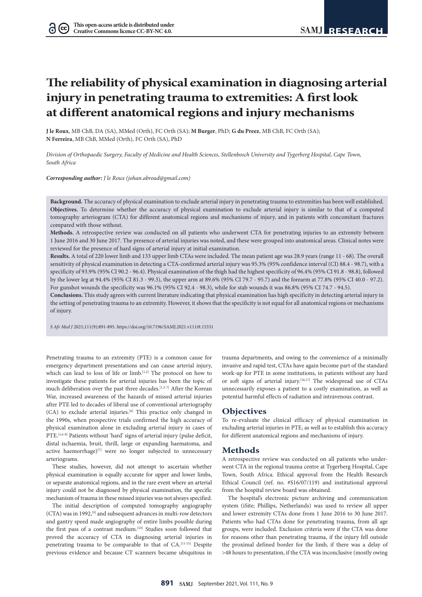$(cc)$ 

# **The reliability of physical examination in diagnosing arterial injury in penetrating trauma to extremities: A first look at different anatomical regions and injury mechanisms**

**J le Roux**, MB ChB, DA (SA), MMed (Orth), FC Orth (SA); **M Burger**, PhD; **G du Preez**, MB ChB, FC Orth (SA); **N Ferreira**, MB ChB, MMed (Orth), FC Orth (SA), PhD

*Division of Orthopaedic Surgery, Faculty of Medicine and Health Sciences, Stellenbosch University and Tygerberg Hospital, Cape Town, South Africa*

*Corresponding author: J le Roux ([johan.abroad@gmail.com\)](mailto:johan.abroad@gmail.com)*

**Background.** The accuracy of physical examination to exclude arterial injury in penetrating trauma to extremities has been well established. **Objectives.** To determine whether the accuracy of physical examination to exclude arterial injury is similar to that of a computed tomography arteriogram (CTA) for different anatomical regions and mechanisms of injury, and in patients with concomitant fractures compared with those without.

**Methods.** A retrospective review was conducted on all patients who underwent CTA for penetrating injuries to an extremity between 1 June 2016 and 30 June 2017. The presence of arterial injuries was noted, and these were grouped into anatomical areas. Clinical notes were reviewed for the presence of hard signs of arterial injury at initial examination.

**Results.** A total of 220 lower limb and 133 upper limb CTAs were included. The mean patient age was 28.9 years (range 11 - 68). The overall sensitivity of physical examination in detecting a CTA-confirmed arterial injury was 95.3% (95% confidence interval (CI) 88.4 - 98.7), with a specificity of 93.9% (95% CI 90.2 - 96.4). Physical examination of the thigh had the highest specificity of 96.4% (95% CI 91.8 - 98.8), followed by the lower leg at 94.4% (95% CI 81.3 - 99.3), the upper arm at 89.6% (95% CI 79.7 - 95.7) and the forearm at 77.8% (95% CI 40.0 - 97.2). For gunshot wounds the specificity was 96.1% (95% CI 92.4 - 98.3), while for stab wounds it was 86.8% (95% CI 74.7 - 94.5).

**Conclusions.** This study agrees with current literature indicating that physical examination has high specificity in detecting arterial injury in the setting of penetrating trauma to an extremity. However, it shows that the specificity is not equal for all anatomical regions or mechanisms of injury.

*S Afr Med J* 2021;111(9):891-895. <https://doi.org/10.7196/SAMJ.2021.v111i9.15331>

Penetrating trauma to an extremity (PTE) is a common cause for emergency department presentations and can cause arterial injury, which can lead to loss of life or limb.<sup>[1,2]</sup> The protocol on how to investigate these patients for arterial injuries has been the topic of much deliberation over the past three decades.[1,3-7] After the Korean War, increased awareness of the hazards of missed arterial injuries after PTE led to decades of liberal use of conventional arteriography (CA) to exclude arterial injuries.<sup>[6]</sup> This practice only changed in the 1990s, when prospective trials confirmed the high accuracy of physical examination alone in excluding arterial injury in cases of PTE.<sup>[1,6-8]</sup> Patients without 'hard' signs of arterial injury (pulse deficit, distal ischaemia, bruit, thrill, large or expanding haematoma, and active haemorrhage)<sup>[7]</sup> were no longer subjected to unnecessary arteriograms.

These studies, however, did not attempt to ascertain whether physical examination is equally accurate for upper and lower limbs, or separate anatomical regions, and in the rare event where an arterial injury could not be diagnosed by physical examination, the specific mechanism of trauma in these missed injuries was not always specified.

The initial description of computed tomography angiography (CTA) was in 1992,<sup>[9]</sup> and subsequent advances in multi-row detectors and gantry speed made angiography of entire limbs possible during the first pass of a contrast medium.<sup>[10]</sup> Studies soon followed that proved the accuracy of CTA in diagnosing arterial injuries in penetrating trauma to be comparable to that of CA.[11-15] Despite previous evidence and because CT scanners became ubiquitous in

trauma departments, and owing to the convenience of a minimally invasive and rapid test, CTAs have again become part of the standard work-up for PTE in some institutions, in patients without any hard or soft signs of arterial injury.[16,17] The widespread use of CTAs unnecessarily exposes a patient to a costly examination, as well as potential harmful effects of radiation and intravenous contrast.

# **Objectives**

To re-evaluate the clinical efficacy of physical examination in excluding arterial injuries in PTE, as well as to establish this accuracy for different anatomical regions and mechanisms of injury.

## **Methods**

A retrospective review was conducted on all patients who underwent CTA in the regional trauma centre at Tygerberg Hospital, Cape Town, South Africa. Ethical approval from the Health Research Ethical Council (ref. no. #S16/07/119) and institutional approval from the hospital review board was obtained.

The hospital's electronic picture archiving and communication system (iSite; Phillips, Netherlands) was used to review all upper and lower extremity CTAs done from 1 June 2016 to 30 June 2017. Patients who had CTAs done for penetrating trauma, from all age groups, were included. Exclusion criteria were if the CTA was done for reasons other than penetrating trauma, if the injury fell outside the proximal defined border for the limb, if there was a delay of >48 hours to presentation, if the CTA was inconclusive (mostly owing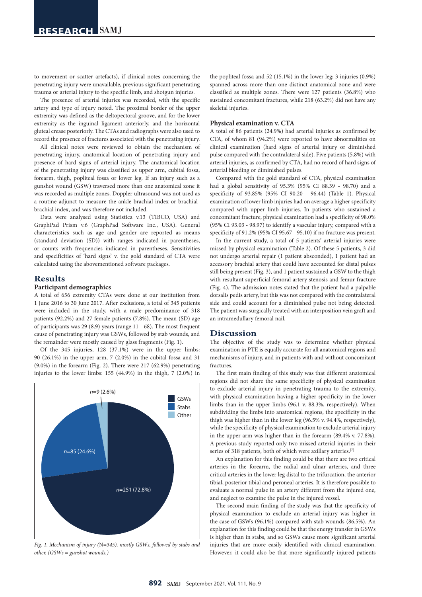to movement or scatter artefacts), if clinical notes concerning the penetrating injury were unavailable, previous significant penetrating trauma or arterial injury to the specific limb, and shotgun injuries.

The presence of arterial injuries was recorded, with the specific artery and type of injury noted. The proximal border of the upper extremity was defined as the deltopectoral groove, and for the lower extremity as the inguinal ligament anteriorly, and the horizontal gluteal crease posteriorly. The CTAs and radiographs were also used to record the presence of fractures associated with the penetrating injury.

All clinical notes were reviewed to obtain the mechanism of penetrating injury, anatomical location of penetrating injury and presence of hard signs of arterial injury. The anatomical location of the penetrating injury was classified as upper arm, cubital fossa, forearm, thigh, popliteal fossa or lower leg. If an injury such as a gunshot wound (GSW) traversed more than one anatomical zone it was recorded as multiple zones. Doppler ultrasound was not used as a routine adjunct to measure the ankle brachial index or brachialbrachial index, and was therefore not included.

Data were analysed using Statistica v.13 (TIBCO, USA) and GraphPad Prism v.6 (GraphPad Software Inc., USA). General characteristics such as age and gender are reported as means (standard deviation (SD)) with ranges indicated in parentheses, or counts with frequencies indicated in parentheses. Sensitivities and specificities of 'hard signs' v. the gold standard of CTA were calculated using the abovementioned software packages.

# **Results**

### **Participant demographics**

A total of 656 extremity CTAs were done at our institution from 1 June 2016 to 30 June 2017. After exclusions, a total of 345 patients were included in the study, with a male predominance of 318 patients (92.2%) and 27 female patients (7.8%). The mean (SD) age of participants was 29 (8.9) years (range 11 - 68). The most frequent cause of penetrating injury was GSWs, followed by stab wounds, and the remainder were mostly caused by glass fragments (Fig. 1).

Of the 345 injuries, 128 (37.1%) were in the upper limbs: 90 (26.1%) in the upper arm, 7 (2.0%) in the cubital fossa and 31 (9.0%) in the forearm (Fig. 2). There were 217 (62.9%) penetrating injuries to the lower limbs: 155 (44.9%) in the thigh, 7 (2.0%) in



*Fig. 1. Mechanism of injury (*N*=345), mostly GSWs, followed by stabs and other. (GSWs = gunshot wounds.)*

the popliteal fossa and 52 (15.1%) in the lower leg; 3 injuries (0.9%) spanned across more than one distinct anatomical zone and were classified as multiple zones. There were 127 patients (36.8%) who sustained concomitant fractures, while 218 (63.2%) did not have any skeletal injuries.

#### **Physical examination v. CTA**

A total of 86 patients (24.9%) had arterial injuries as confirmed by CTA, of whom 81 (94.2%) were reported to have abnormalities on clinical examination (hard signs of arterial injury or diminished pulse compared with the contralateral side). Five patients (5.8%) with arterial injuries, as confirmed by CTA, had no record of hard signs of arterial bleeding or diminished pulses.

Compared with the gold standard of CTA, physical examination had a global sensitivity of 95.3% (95% CI 88.39 - 98.70) and a specificity of 93.85% (95% CI 90.20 - 96.44) (Table 1). Physical examination of lower limb injuries had on average a higher specificity compared with upper limb injuries. In patients who sustained a concomitant fracture, physical examination had a specificity of 98.0% (95% CI 93.03 - 98.97) to identify a vascular injury, compared with a specificity of 91.2% (95% CI 95.67 - 95.10) if no fracture was present.

In the current study, a total of 5 patients' arterial injuries were missed by physical examination (Table 2). Of these 5 patients, 3 did not undergo arterial repair (1 patient absconded), 1 patient had an accessory brachial artery that could have accounted for distal pulses still being present (Fig. 3), and 1 patient sustained a GSW to the thigh with resultant superficial femoral artery stenosis and femur fracture (Fig. 4). The admission notes stated that the patient had a palpable dorsalis pedis artery, but this was not compared with the contralateral side and could account for a diminished pulse not being detected. The patient was surgically treated with an interposition vein graft and an intramedullary femoral nail.

#### **Discussion**

The objective of the study was to determine whether physical examination in PTE is equally accurate for all anatomical regions and mechanisms of injury, and in patients with and without concomitant fractures.

The first main finding of this study was that different anatomical regions did not share the same specificity of physical examination to exclude arterial injury in penetrating trauma to the extremity, with physical examination having a higher specificity in the lower limbs than in the upper limbs (96.1 v. 88.3%, respectively). When subdividing the limbs into anatomical regions, the specificity in the thigh was higher than in the lower leg (96.5% v. 94.4%, respectively), while the specificity of physical examination to exclude arterial injury in the upper arm was higher than in the forearm (89.4% v. 77.8%). A previous study reported only two missed arterial injuries in their series of 318 patients, both of which were axillary arteries.<sup>[7]</sup>

An explanation for this finding could be that there are two critical arteries in the forearm, the radial and ulnar arteries, and three critical arteries in the lower leg distal to the trifurcation, the anterior tibial, posterior tibial and peroneal arteries. It is therefore possible to evaluate a normal pulse in an artery different from the injured one, and neglect to examine the pulse in the injured vessel.

The second main finding of the study was that the specificity of physical examination to exclude an arterial injury was higher in the case of GSWs (96.1%) compared with stab wounds (86.5%). An explanation for this finding could be that the energy transfer in GSWs is higher than in stabs, and so GSWs cause more significant arterial injuries that are more easily identified with clinical examination. However, it could also be that more significantly injured patients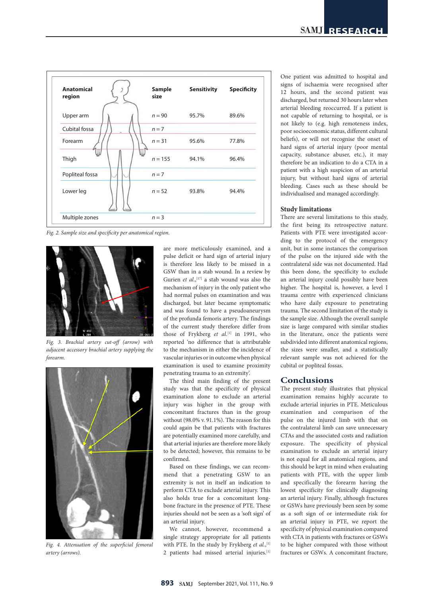

*Fig. 2. Sample size and specificity per anatomical region.*



*Fig. 3. Brachial artery cut-off (arrow) with adjacent accessory brachial artery supplying the forearm.*



*Fig. 4. Attenuation of the superficial femoral artery (arrows).*

are more meticulously examined, and a pulse deficit or hard sign of arterial injury is therefore less likely to be missed in a GSW than in a stab wound. In a review by Gurien et al.,<sup>[17]</sup> a stab wound was also the mechanism of injury in the only patient who had normal pulses on examination and was discharged, but later became symptomatic and was found to have a pseudoaneurysm of the profunda femoris artery. The findings of the current study therefore differ from those of Frykberg *et al.*<sup>[1]</sup> in 1991, who reported 'no difference that is attributable to the mechanism in either the incidence of vascular injuries or in outcome when physical examination is used to examine proximity penetrating trauma to an extremity'.

The third main finding of the present study was that the specificity of physical examination alone to exclude an arterial injury was higher in the group with concomitant fractures than in the group without (98.0% v. 91.1%). The reason for this could again be that patients with fractures are potentially examined more carefully, and that arterial injuries are therefore more likely to be detected; however, this remains to be confirmed.

Based on these findings, we can recommend that a penetrating GSW to an extremity is not in itself an indication to perform CTA to exclude arterial injury. This also holds true for a concomitant longbone fracture in the presence of PTE. These injuries should not be seen as a 'soft sign' of an arterial injury.

We cannot, however, recommend a single strategy appropriate for all patients with PTE. In the study by Frykberg et al.,<sup>[1]</sup> 2 patients had missed arterial injuries.[1] One patient was admitted to hospital and signs of ischaemia were recognised after 12 hours, and the second patient was discharged, but returned 30 hours later when arterial bleeding reoccurred. If a patient is not capable of returning to hospital, or is not likely to (e.g. high remoteness index, poor socioeconomic status, different cultural beliefs), or will not recognise the onset of hard signs of arterial injury (poor mental capacity, substance abuser, etc.), it may therefore be an indication to do a CTA in a patient with a high suspicion of an arterial injury, but without hard signs of arterial bleeding. Cases such as these should be individualised and managed accordingly.

#### **Study limitations**

There are several limitations to this study, the first being its retrospective nature. Patients with PTE were investigated according to the protocol of the emergency unit, but in some instances the comparison of the pulse on the injured side with the contralateral side was not documented. Had this been done, the specificity to exclude an arterial injury could possibly have been higher. The hospital is, however, a level I trauma centre with experienced clinicians who have daily exposure to penetrating trauma. The second limitation of the study is the sample size. Although the overall sample size is large compared with similar studies in the literature, once the patients were subdivided into different anatomical regions, the sizes were smaller, and a statistically relevant sample was not achieved for the cubital or popliteal fossas.

## **Conclusions**

The present study illustrates that physical examination remains highly accurate to exclude arterial injuries in PTE. Meticulous examination and comparison of the pulse on the injured limb with that on the contralateral limb can save unnecessary CTAs and the associated costs and radiation exposure. The specificity of physical examination to exclude an arterial injury is not equal for all anatomical regions, and this should be kept in mind when evaluating patients with PTE, with the upper limb and specifically the forearm having the lowest specificity for clinically diagnosing an arterial injury. Finally, although fractures or GSWs have previously been seen by some as a soft sign of or intermediate risk for an arterial injury in PTE, we report the specificity of physical examination compared with CTA in patients with fractures or GSWs to be higher compared with those without fractures or GSWs. A concomitant fracture,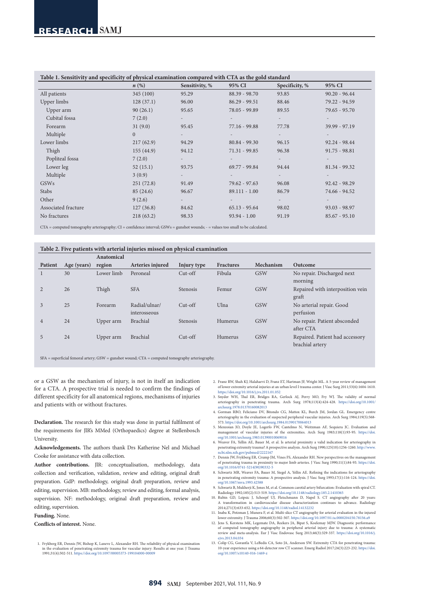|                     | $n\left(\%\right)$ | Sensitivity, % | 95% CI          | Specificity, % | 95% CI          |
|---------------------|--------------------|----------------|-----------------|----------------|-----------------|
| All patients        | 345 (100)          | 95.29          | $88.39 - 98.70$ | 93.85          | $90.20 - 96.44$ |
| Upper limbs         | 128(37.1)          | 96.00          | $86.29 - 99.51$ | 88.46          | 79.22 - 94.59   |
| Upper arm           | 90(26.1)           | 95.65          | 78.05 - 99.89   | 89.55          | $79.65 - 95.70$ |
| Cubital fossa       | 7(2.0)             |                |                 |                |                 |
| Forearm             | 31(9.0)            | 95.45          | $77.16 - 99.88$ | 77.78          | $39.99 - 97.19$ |
| Multiple            | $\overline{0}$     |                |                 |                |                 |
| Lower limbs         | 217(62.9)          | 94.29          | $80.84 - 99.30$ | 96.15          | $92.24 - 98.44$ |
| Thigh               | 155(44.9)          | 94.12          | $71.31 - 99.85$ | 96.38          | $91.75 - 98.81$ |
| Popliteal fossa     | 7(2.0)             |                |                 |                |                 |
| Lower leg           | 52(15.1)           | 93.75          | $69.77 - 99.84$ | 94.44          | $81.34 - 99.32$ |
| Multiple            | 3(0.9)             |                |                 |                |                 |
| <b>GSWs</b>         | 251(72.8)          | 91.49          | $79.62 - 97.63$ | 96.08          | $92.42 - 98.29$ |
| Stabs               | 85(24.6)           | 96.67          | $89.111 - 1.00$ | 86.79          | 74.66 - 94.52   |
| Other               | 9(2.6)             | $\sim$         |                 |                |                 |
| Associated fracture | 127(36.8)          | 84.62          | $65.13 - 95.64$ | 98.02          | $93.03 - 98.97$ |
| No fractures        | 218(63.2)          | 98.33          | $93.94 - 1.00$  | 91.19          | $85.67 - 95.10$ |

 $CTA =$  computed tomography arteriography;  $CI =$  confidence interval;  $GSWs =$  gunshot wounds;  $-$  = values too small to be calculated.

#### **Table 2. Five patients with arterial injuries missed on physical examination**

|                |             | Anatomical |                               |                 |                  |            |                                                    |
|----------------|-------------|------------|-------------------------------|-----------------|------------------|------------|----------------------------------------------------|
| Patient        | Age (years) | region     | Arteries injured              | Injury type     | <b>Fractures</b> | Mechanism  | Outcome                                            |
|                | 30          | Lower limb | Peroneal                      | $Cut-off$       | Fibula           | <b>GSW</b> | No repair. Discharged next<br>morning              |
|                | 26          | Thigh      | <b>SFA</b>                    | <b>Stenosis</b> | Femur            | <b>GSW</b> | Repaired with interposition vein<br>graft          |
| 3              | 25          | Forearm    | Radial/ulnar/<br>interosseous | $Cut-off$       | Ulna             | <b>GSW</b> | No arterial repair. Good<br>perfusion              |
| $\overline{4}$ | 24          | Upper arm  | Brachial                      | <b>Stenosis</b> | Humerus          | <b>GSW</b> | No repair. Patient absconded<br>after CTA          |
| 5              | 24          | Upper arm  | <b>Brachial</b>               | $Cut-off$       | Humerus          | <b>GSW</b> | Repaired. Patient had accessory<br>brachial artery |

SFA = superficial femoral artery; GSW = gunshot wound; CTA = computed tomography arteriography.

or a GSW as the mechanism of injury, is not in itself an indication for a CTA. A prospective trial is needed to confirm the findings of different specificity for all anatomical regions, mechanisms of injuries and patients with or without fractures.

**Declaration.** The research for this study was done in partial fulfilment of the requirements for JlR's MMed (Orthopaedics) degree at Stellenbosch University.

**Acknowledgements.** The authors thank Drs Katherine Nel and Michael Cooke for assistance with data collection.

**Author contributions.** JlR: conceptualisation, methodology, data collection and verification, validation, review and editing, original draft preparation. GdP: methodology, original draft preparation, review and editing, supervision. MB: methodology, review and editing, formal analysis, supervision. NF: methodology, original draft preparation, review and editing, supervision.

**Funding.** None.

**Conflicts of interest.** None.

1. Frykberg ER, Dennis JW, Bishop K, Laneve L, Alexander RH. The reliability of physical examination in the evaluation of penetrating extremity trauma for vascular injury: Results at one year. J Trauma 1991;31(4):502-511. <https://doi.org/10.1097/00005373-199104000-00009>

- 2. Franz RW, Shah KJ, Halaharvi D, Franz ET, Hartman JF, Wright ML. A 5-year review of of lower extremity arterial injuries at an urban level I trauma center. J Vasc Surg 2011;53(6):1604-1610. <https://doi.org/10.1016/j.jvs.2011.01.052>
- 3. Snyder WH, Thal ER, Bridges RA, Gerlock AJ, Perry MO, Fry WJ. The validity of normal arteriography in penetrating trauma. Arch Surg 1978;113(4):424-428. [https://doi.org/10.1001/](https://doi.org/10.1001/archsurg.1978.01370160082013) [archsurg.1978.01370160082013](https://doi.org/10.1001/archsurg.1978.01370160082013)
- 4. Gorman RBO, Feliciano DV, Bitondo CG, Mattox KL, Burch JM, Jordan GL. Emergency centre arteriography in the evaluation of suspected peripheral vascular injuries. Arch Surg 1984;119(5):568- 573. <https://doi.org/10.1001/archsurg.1984.01390170064013>
- 5. Menzoian JO, Doyle JE, Logerfo FW, Cantelmo N, Weitzman AF, Sequiera JC. Evaluation and management of vascular injuries of the extremities. Arch Surg 1983;118(1):93-95. [https://doi.](https://doi.org/10.1001/archsurg.1983.01390010069016) [org/10.1001/archsurg.1983.01390010069016](https://doi.org/10.1001/archsurg.1983.01390010069016)
- 6. Weaver FA, Yellin AE, Bauer M, et al. Is arterial proximity a valid indication for arteriography in penetrating extremity trauma? A prospective analysis. Arch Surg 1990;125(10):1256-1260. http:/ [ncbi.nlm.nih.gov/pubmed/2222167](http://www.ncbi.nlm.nih.gov/pubmed/2222167)
- 7. Dennis JW, Frykberg ER, Crump JM, Vines FS, Alexander RH. New perspectives on the management of penetrating trauma in proximity to major limb arteries. J Vasc Surg 1990;11(1):84-93. [https://doi.](https://doi.org/10.1016/0741-5214(90)90332-5) [org/10.1016/0741-5214\(90\)90332-5](https://doi.org/10.1016/0741-5214(90)90332-5)
- 8. Schwartz MR, Weaver FA, Bauer M, Siegel A, Yellin AE. Refining the indications for arteriography in penetrating extremity trauma: A prospective analysis. J Vasc Surg 1993;17(1):116-124. [https://doi.](https://doi.org/10.1067/mva.1993.42588) [org/10.1067/mva.1993.42588](https://doi.org/10.1067/mva.1993.42588)
- 9. Schwartz B, Mukherji K, Jones M, et al. Common carotid artery bifurcation: Evaluation with spiral CT. Radiology 1992;185(2):513-519.<https://doi.org/10.1148/radiology.185.2.1410365>
- 10. Rubin GD, Leipsic J, Schoepf UJ, Fleischmann D, Napel S. CT angiography after 20 years: A transformation in cardiovascular disease characterization continues to advance. Radiology 2014;271(3):633-652.<https://doi.org/10.1148/radiol.14132232>
- 11. Inaba K, Potzman J, Munera F, et al. Multi-slice CT angiography for arterial evaluation in the injured lower extremity. J Trauma 2006;60(3):502-507. <https://doi.org/10.1097/01.ta.0000204150.78156.a9>
- 12. Jens S, Kerstens MK, Legemate DA, Reekers JA, Bipat S, Koelemay MJW. Diagnostic performance of computed tomography angiography in peripheral arterial injury due to trauma: A systematic review and meta-analysis. Eur J Vasc Endovasc Surg 2013;46(3):329-337. [https://doi.org/10.1016/j.](https://doi.org/10.1016/j.ejvs.2013.04.034) [ejvs.2013.04.034](https://doi.org/10.1016/j.ejvs.2013.04.034)
- 13. Colip CG, Gorantla V, LeBedis CA, Soto JA, Anderson SW. Extremity CTA for penetrating trauma: 10-year experience using a 64-detector row CT scanner. Emerg Radiol 2017;24(3):223-232. [https://doi.](https://doi.org/10.1007/s10140-016-1469-z) [org/10.1007/s10140-016-1469-z](https://doi.org/10.1007/s10140-016-1469-z)